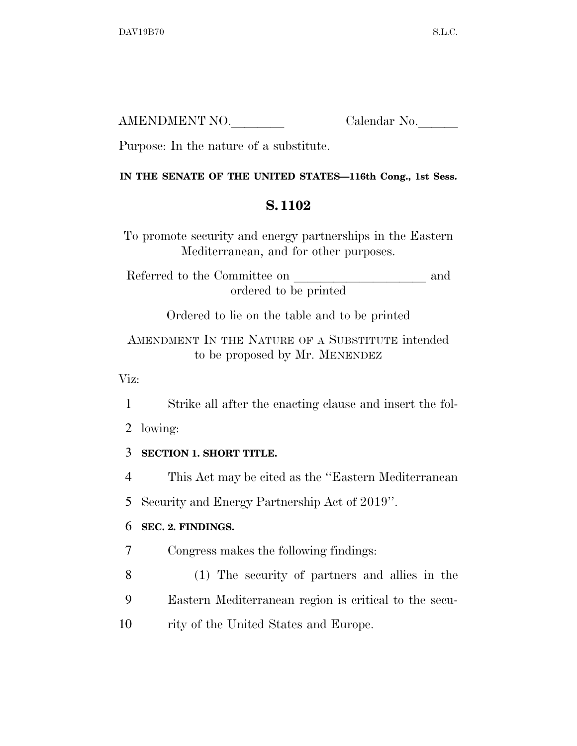| AMENDMENT NO. | Calendar No. |
|---------------|--------------|
|               |              |

Purpose: In the nature of a substitute.

#### **IN THE SENATE OF THE UNITED STATES—116th Cong., 1st Sess.**

## **S. 1102**

To promote security and energy partnerships in the Eastern Mediterranean, and for other purposes.

Referred to the Committee on and ordered to be printed

Ordered to lie on the table and to be printed

AMENDMENT IN THE NATURE OF A SUBSTITUTE intended to be proposed by Mr. MENENDEZ

Viz:

1 Strike all after the enacting clause and insert the fol-

2 lowing:

## 3 **SECTION 1. SHORT TITLE.**

4 This Act may be cited as the ''Eastern Mediterranean

5 Security and Energy Partnership Act of 2019''.

## 6 **SEC. 2. FINDINGS.**

7 Congress makes the following findings:

8 (1) The security of partners and allies in the 9 Eastern Mediterranean region is critical to the secu-

10 rity of the United States and Europe.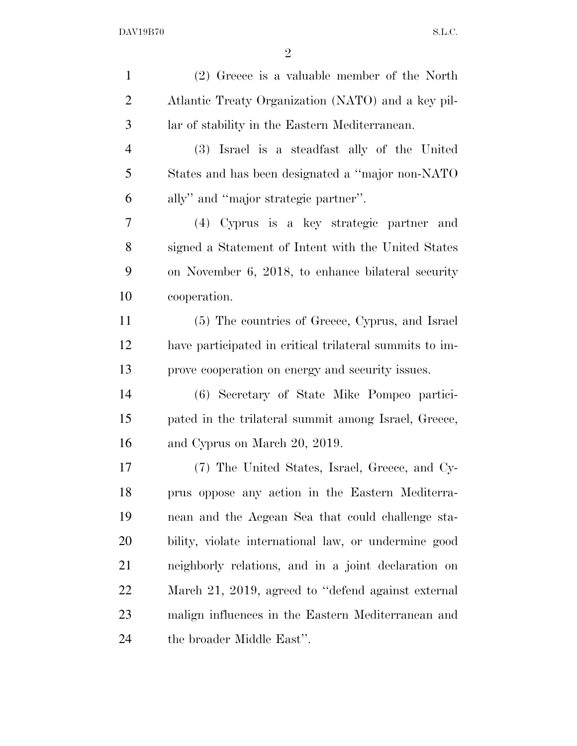| $\mathbf{1}$   | (2) Greece is a valuable member of the North            |
|----------------|---------------------------------------------------------|
| $\overline{2}$ | Atlantic Treaty Organization (NATO) and a key pil-      |
| 3              | lar of stability in the Eastern Mediterranean.          |
| $\overline{4}$ | (3) Israel is a steadfast ally of the United            |
| 5              | States and has been designated a "major non-NATO"       |
| 6              | ally" and "major strategic partner".                    |
| 7              | (4) Cyprus is a key strategic partner and               |
| 8              | signed a Statement of Intent with the United States     |
| 9              | on November 6, 2018, to enhance bilateral security      |
| 10             | cooperation.                                            |
| 11             | (5) The countries of Greece, Cyprus, and Israel         |
| 12             | have participated in critical trilateral summits to im- |
| 13             | prove cooperation on energy and security issues.        |
| 14             | (6) Secretary of State Mike Pompeo partici-             |
| 15             | pated in the trilateral summit among Israel, Greece,    |
| 16             | and Cyprus on March 20, 2019.                           |
| 17             | (7) The United States, Israel, Greece, and Cy-          |
| 18             | prus oppose any action in the Eastern Mediterra-        |
| 19             | nean and the Aegean Sea that could challenge sta-       |
| 20             | bility, violate international law, or undermine good    |
| 21             | neighborly relations, and in a joint declaration on     |
| <u>22</u>      | March 21, 2019, agreed to "defend against external      |
| 23             | malign influences in the Eastern Mediterranean and      |
| 24             | the broader Middle East".                               |
|                |                                                         |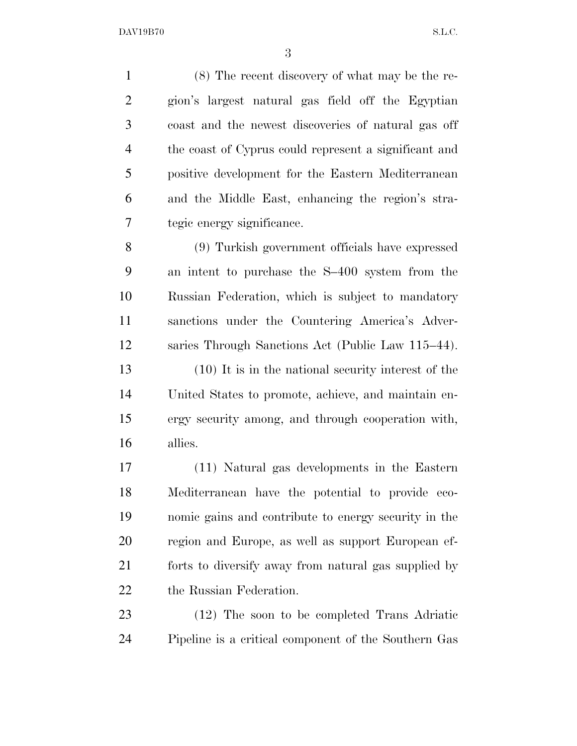(8) The recent discovery of what may be the re- gion's largest natural gas field off the Egyptian coast and the newest discoveries of natural gas off the coast of Cyprus could represent a significant and positive development for the Eastern Mediterranean and the Middle East, enhancing the region's stra-tegic energy significance.

 (9) Turkish government officials have expressed an intent to purchase the S–400 system from the Russian Federation, which is subject to mandatory sanctions under the Countering America's Adver-saries Through Sanctions Act (Public Law 115–44).

 (10) It is in the national security interest of the United States to promote, achieve, and maintain en- ergy security among, and through cooperation with, allies.

 (11) Natural gas developments in the Eastern Mediterranean have the potential to provide eco- nomic gains and contribute to energy security in the region and Europe, as well as support European ef- forts to diversify away from natural gas supplied by the Russian Federation.

 (12) The soon to be completed Trans Adriatic Pipeline is a critical component of the Southern Gas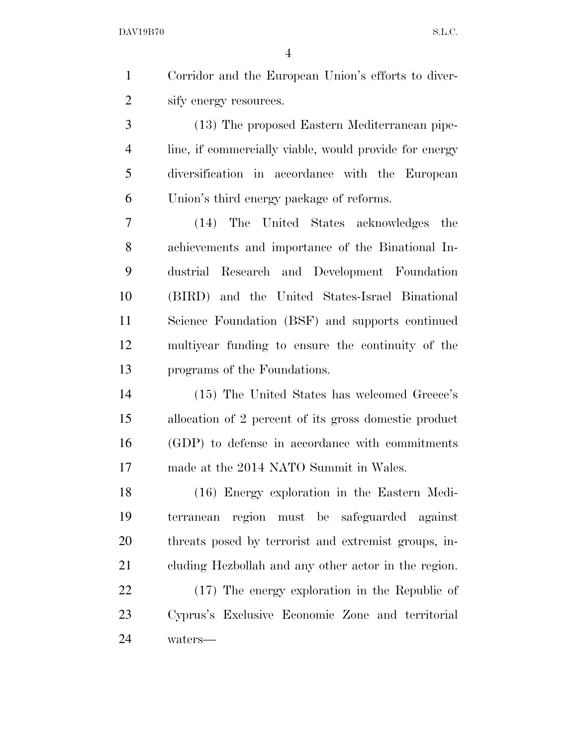Corridor and the European Union's efforts to diver-sify energy resources.

 (13) The proposed Eastern Mediterranean pipe- line, if commercially viable, would provide for energy diversification in accordance with the European Union's third energy package of reforms.

 (14) The United States acknowledges the achievements and importance of the Binational In- dustrial Research and Development Foundation (BIRD) and the United States-Israel Binational Science Foundation (BSF) and supports continued multiyear funding to ensure the continuity of the programs of the Foundations.

 (15) The United States has welcomed Greece's allocation of 2 percent of its gross domestic product (GDP) to defense in accordance with commitments made at the 2014 NATO Summit in Wales.

 (16) Energy exploration in the Eastern Medi- terranean region must be safeguarded against threats posed by terrorist and extremist groups, in-cluding Hezbollah and any other actor in the region.

 (17) The energy exploration in the Republic of Cyprus's Exclusive Economic Zone and territorial waters—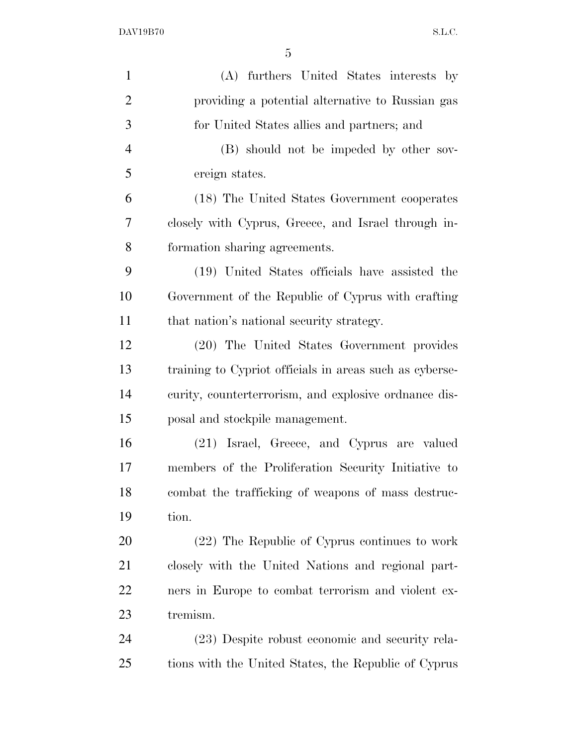| $\mathbf{1}$   | (A) furthers United States interests by                 |
|----------------|---------------------------------------------------------|
| $\overline{2}$ | providing a potential alternative to Russian gas        |
| 3              | for United States allies and partners; and              |
| $\overline{4}$ | (B) should not be impeded by other sov-                 |
| 5              | ereign states.                                          |
| 6              | (18) The United States Government cooperates            |
| 7              | closely with Cyprus, Greece, and Israel through in-     |
| 8              | formation sharing agreements.                           |
| 9              | (19) United States officials have assisted the          |
| 10             | Government of the Republic of Cyprus with crafting      |
| 11             | that nation's national security strategy.               |
| 12             | (20) The United States Government provides              |
| 13             | training to Cypriot officials in areas such as cyberse- |
| 14             | curity, counterterrorism, and explosive ordnance dis-   |
| 15             | posal and stockpile management.                         |
| 16             | (21) Israel, Greece, and Cyprus are valued              |
| 17             | members of the Proliferation Security Initiative to     |
| 18             | combat the trafficking of weapons of mass destruc-      |
| 19             | tion.                                                   |
| 20             | (22) The Republic of Cyprus continues to work           |
| 21             | closely with the United Nations and regional part-      |
| 22             | ners in Europe to combat terrorism and violent ex-      |
| 23             | tremism.                                                |
| 24             | (23) Despite robust economic and security rela-         |
| 25             | tions with the United States, the Republic of Cyprus    |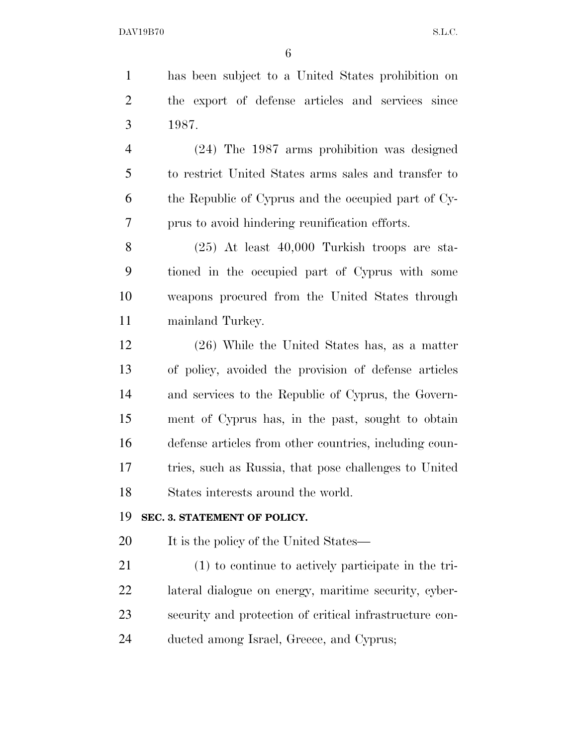has been subject to a United States prohibition on the export of defense articles and services since 1987.

 (24) The 1987 arms prohibition was designed to restrict United States arms sales and transfer to the Republic of Cyprus and the occupied part of Cy-prus to avoid hindering reunification efforts.

 (25) At least 40,000 Turkish troops are sta- tioned in the occupied part of Cyprus with some weapons procured from the United States through mainland Turkey.

 (26) While the United States has, as a matter of policy, avoided the provision of defense articles and services to the Republic of Cyprus, the Govern- ment of Cyprus has, in the past, sought to obtain defense articles from other countries, including coun- tries, such as Russia, that pose challenges to United States interests around the world.

#### **SEC. 3. STATEMENT OF POLICY.**

20 It is the policy of the United States—

 (1) to continue to actively participate in the tri- lateral dialogue on energy, maritime security, cyber- security and protection of critical infrastructure con-ducted among Israel, Greece, and Cyprus;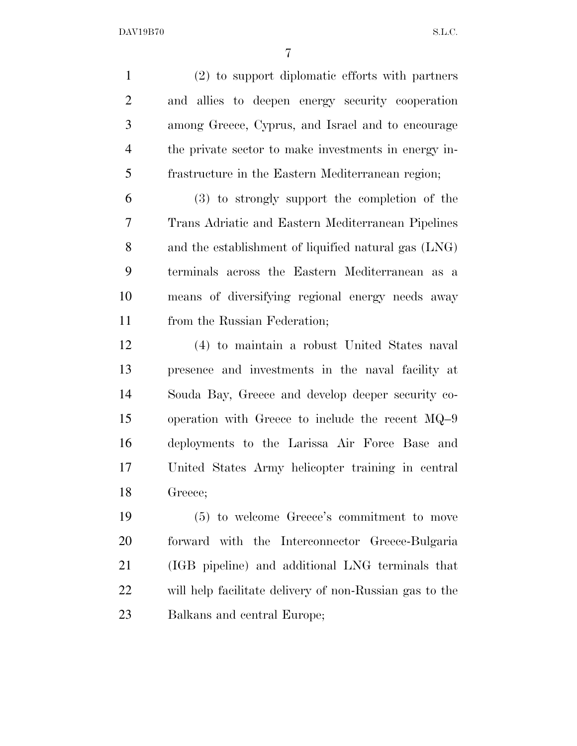(2) to support diplomatic efforts with partners and allies to deepen energy security cooperation among Greece, Cyprus, and Israel and to encourage the private sector to make investments in energy in- frastructure in the Eastern Mediterranean region; (3) to strongly support the completion of the Trans Adriatic and Eastern Mediterranean Pipelines and the establishment of liquified natural gas (LNG) terminals across the Eastern Mediterranean as a means of diversifying regional energy needs away from the Russian Federation; (4) to maintain a robust United States naval presence and investments in the naval facility at Souda Bay, Greece and develop deeper security co- operation with Greece to include the recent MQ–9 deployments to the Larissa Air Force Base and United States Army helicopter training in central Greece; (5) to welcome Greece's commitment to move forward with the Interconnector Greece-Bulgaria (IGB pipeline) and additional LNG terminals that will help facilitate delivery of non-Russian gas to the

Balkans and central Europe;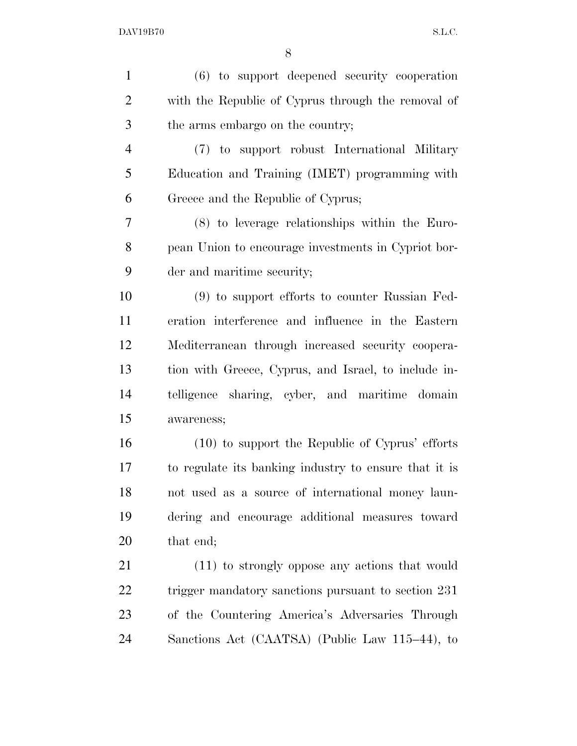| $\mathbf{1}$   | (6) to support deepened security cooperation          |
|----------------|-------------------------------------------------------|
| $\overline{2}$ | with the Republic of Cyprus through the removal of    |
| 3              | the arms embargo on the country;                      |
| $\overline{4}$ | (7) to support robust International Military          |
| 5              | Education and Training (IMET) programming with        |
| 6              | Greece and the Republic of Cyprus;                    |
| 7              | $(8)$ to leverage relationships within the Euro-      |
| 8              | pean Union to encourage investments in Cypriot bor-   |
| 9              | der and maritime security;                            |
| 10             | (9) to support efforts to counter Russian Fed-        |
| 11             | eration interference and influence in the Eastern     |
| 12             | Mediterranean through increased security coopera-     |
| 13             | tion with Greece, Cyprus, and Israel, to include in-  |
| 14             | telligence sharing, cyber, and maritime domain        |
| 15             | awareness;                                            |
| 16             | $(10)$ to support the Republic of Cyprus' efforts     |
| 17             | to regulate its banking industry to ensure that it is |
| 18             | not used as a source of international money laun-     |
| 19             | dering and encourage additional measures toward       |
| 20             | that end;                                             |
| 21             | (11) to strongly oppose any actions that would        |
| 22             | trigger mandatory sanctions pursuant to section 231   |
| 23             | of the Countering America's Adversaries Through       |
| 24             | Sanctions Act (CAATSA) (Public Law 115–44), to        |
|                |                                                       |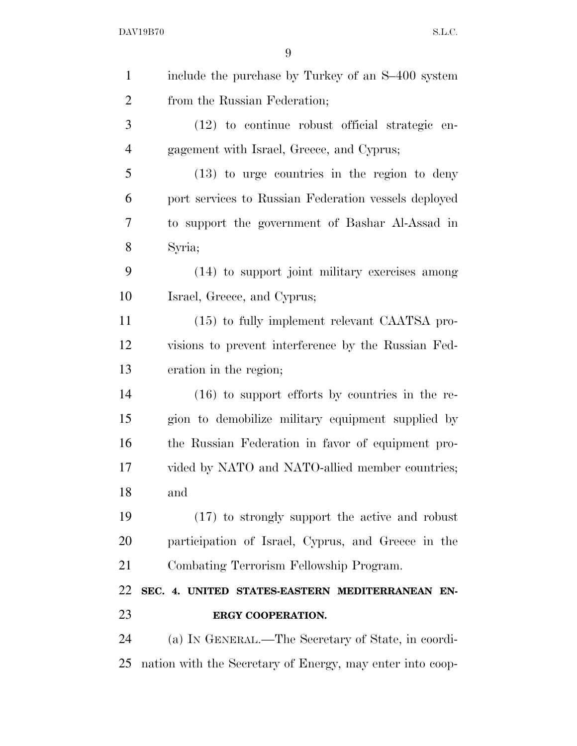| $\mathbf{1}$   | include the purchase by Turkey of an S-400 system         |
|----------------|-----------------------------------------------------------|
| $\overline{2}$ | from the Russian Federation;                              |
| 3              | $(12)$ to continue robust official strategic en-          |
| $\overline{4}$ | gagement with Israel, Greece, and Cyprus;                 |
| 5              | $(13)$ to urge countries in the region to deny            |
| 6              | port services to Russian Federation vessels deployed      |
| 7              | to support the government of Bashar Al-Assad in           |
| 8              | Syria;                                                    |
| 9              | (14) to support joint military exercises among            |
| 10             | Israel, Greece, and Cyprus;                               |
| 11             | (15) to fully implement relevant CAATSA pro-              |
| 12             | visions to prevent interference by the Russian Fed-       |
| 13             | eration in the region;                                    |
| 14             | $(16)$ to support efforts by countries in the re-         |
| 15             | gion to demobilize military equipment supplied by         |
| 16             | the Russian Federation in favor of equipment pro-         |
| 17             | vided by NATO and NATO-allied member countries;           |
| 18             | and                                                       |
| 19             | (17) to strongly support the active and robust            |
| 20             | participation of Israel, Cyprus, and Greece in the        |
| 21             | Combating Terrorism Fellowship Program.                   |
| 22             | SEC. 4. UNITED STATES-EASTERN MEDITERRANEAN EN-           |
| 23             | ERGY COOPERATION.                                         |
| 24             | (a) IN GENERAL.—The Secretary of State, in coordi-        |
| 25             | nation with the Secretary of Energy, may enter into coop- |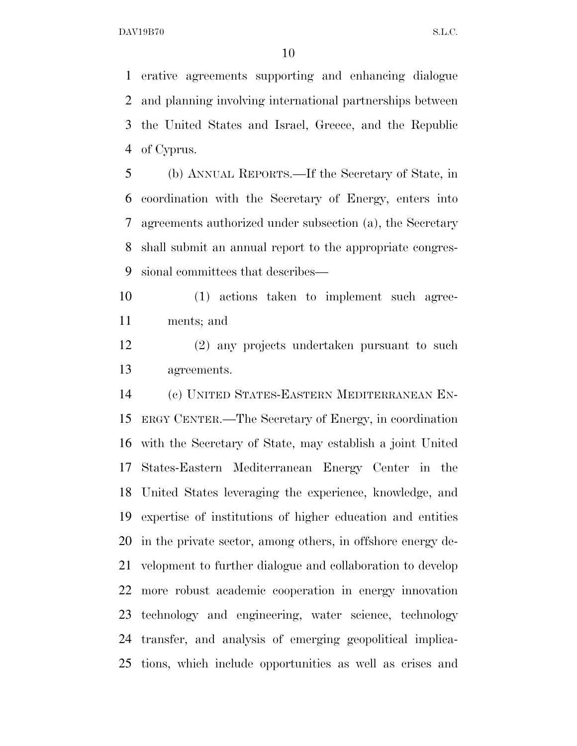erative agreements supporting and enhancing dialogue and planning involving international partnerships between the United States and Israel, Greece, and the Republic of Cyprus.

 (b) ANNUAL REPORTS.—If the Secretary of State, in coordination with the Secretary of Energy, enters into agreements authorized under subsection (a), the Secretary shall submit an annual report to the appropriate congres-sional committees that describes—

 (1) actions taken to implement such agree-ments; and

 (2) any projects undertaken pursuant to such agreements.

 (c) UNITED STATES-EASTERN MEDITERRANEAN EN- ERGY CENTER.—The Secretary of Energy, in coordination with the Secretary of State, may establish a joint United States-Eastern Mediterranean Energy Center in the United States leveraging the experience, knowledge, and expertise of institutions of higher education and entities in the private sector, among others, in offshore energy de- velopment to further dialogue and collaboration to develop more robust academic cooperation in energy innovation technology and engineering, water science, technology transfer, and analysis of emerging geopolitical implica-tions, which include opportunities as well as crises and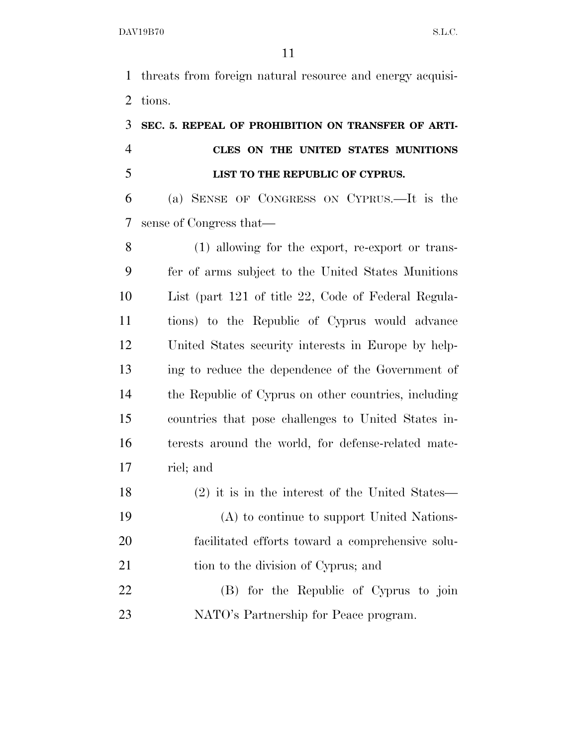threats from foreign natural resource and energy acquisi-tions.

# **SEC. 5. REPEAL OF PROHIBITION ON TRANSFER OF ARTI- CLES ON THE UNITED STATES MUNITIONS LIST TO THE REPUBLIC OF CYPRUS.**

 (a) SENSE OF CONGRESS ON CYPRUS.—It is the sense of Congress that—

 (1) allowing for the export, re-export or trans- fer of arms subject to the United States Munitions List (part 121 of title 22, Code of Federal Regula- tions) to the Republic of Cyprus would advance United States security interests in Europe by help- ing to reduce the dependence of the Government of the Republic of Cyprus on other countries, including countries that pose challenges to United States in- terests around the world, for defense-related mate-riel; and

- (2) it is in the interest of the United States— (A) to continue to support United Nations- facilitated efforts toward a comprehensive solu-21 tion to the division of Cyprus; and
- (B) for the Republic of Cyprus to join NATO's Partnership for Peace program.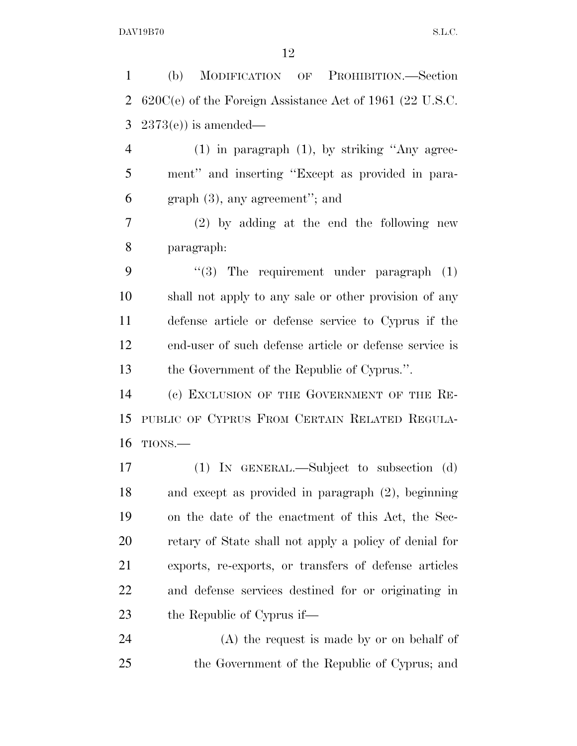(b) MODIFICATION OF PROHIBITION.—Section 620C(e) of the Foreign Assistance Act of 1961 (22 U.S.C. 2373(e)) is amended— (1) in paragraph (1), by striking ''Any agree- ment'' and inserting ''Except as provided in para- graph (3), any agreement''; and (2) by adding at the end the following new paragraph:  $(3)$  The requirement under paragraph  $(1)$  shall not apply to any sale or other provision of any defense article or defense service to Cyprus if the end-user of such defense article or defense service is the Government of the Republic of Cyprus.''. (c) EXCLUSION OF THE GOVERNMENT OF THE RE- PUBLIC OF CYPRUS FROM CERTAIN RELATED REGULA- TIONS.— (1) IN GENERAL.—Subject to subsection (d) and except as provided in paragraph (2), beginning on the date of the enactment of this Act, the Sec- retary of State shall not apply a policy of denial for exports, re-exports, or transfers of defense articles and defense services destined for or originating in the Republic of Cyprus if—

 (A) the request is made by or on behalf of the Government of the Republic of Cyprus; and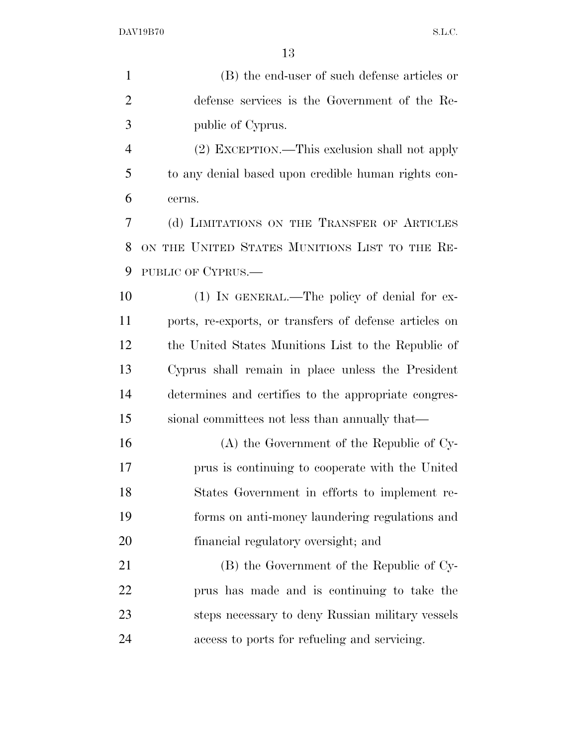(B) the end-user of such defense articles or defense services is the Government of the Re- public of Cyprus. (2) EXCEPTION.—This exclusion shall not apply to any denial based upon credible human rights con- cerns. (d) LIMITATIONS ON THE TRANSFER OF ARTICLES ON THE UNITED STATES MUNITIONS LIST TO THE RE- PUBLIC OF CYPRUS.— 10 (1) IN GENERAL.—The policy of denial for ex- ports, re-exports, or transfers of defense articles on the United States Munitions List to the Republic of Cyprus shall remain in place unless the President determines and certifies to the appropriate congres-sional committees not less than annually that—

 (A) the Government of the Republic of Cy- prus is continuing to cooperate with the United States Government in efforts to implement re- forms on anti-money laundering regulations and financial regulatory oversight; and

 (B) the Government of the Republic of Cy- prus has made and is continuing to take the steps necessary to deny Russian military vessels access to ports for refueling and servicing.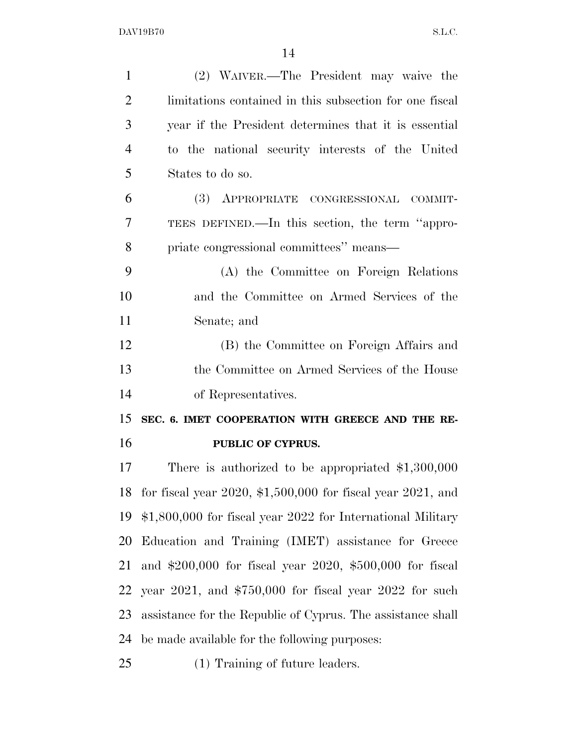| (2) WAIVER.—The President may waive the                         |
|-----------------------------------------------------------------|
|                                                                 |
| limitations contained in this subsection for one fiscal         |
| year if the President determines that it is essential           |
| to the national security interests of the United                |
| States to do so.                                                |
| (3) APPROPRIATE CONGRESSIONAL COMMIT-                           |
| TEES DEFINED.—In this section, the term "appro-                 |
| priate congressional committees" means—                         |
| (A) the Committee on Foreign Relations                          |
| and the Committee on Armed Services of the                      |
| Senate; and                                                     |
|                                                                 |
| (B) the Committee on Foreign Affairs and                        |
| the Committee on Armed Services of the House                    |
| of Representatives.                                             |
| SEC. 6. IMET COOPERATION WITH GREECE AND THE RE-                |
| PUBLIC OF CYPRUS.                                               |
| There is authorized to be appropriated $$1,300,000$             |
| for fiscal year $2020, $1,500,000$ for fiscal year $2021$ , and |
| \$1,800,000 for fiscal year 2022 for International Military     |
| Education and Training (IMET) assistance for Greece             |
| and $$200,000$ for fiscal year $2020, $500,000$ for fiscal      |
| year $2021$ , and \$750,000 for fiscal year $2022$ for such     |
| assistance for the Republic of Cyprus. The assistance shall     |
|                                                                 |

(1) Training of future leaders.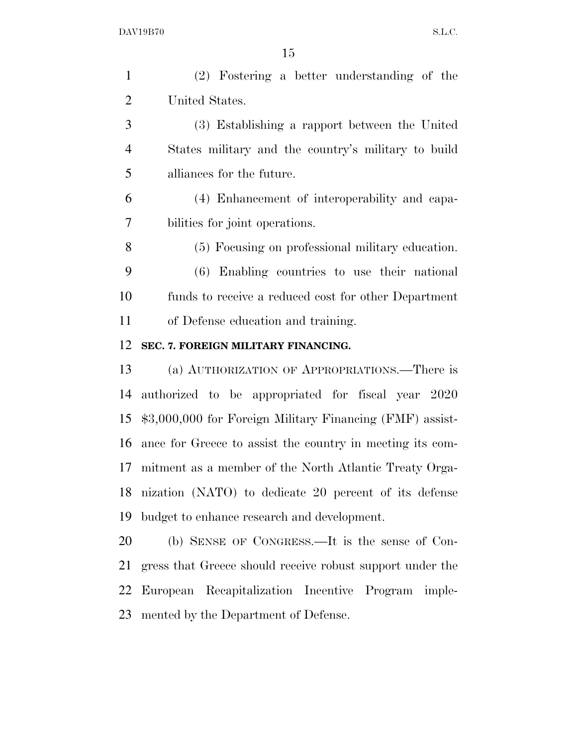(2) Fostering a better understanding of the United States.

 (3) Establishing a rapport between the United States military and the country's military to build alliances for the future.

 (4) Enhancement of interoperability and capa-bilities for joint operations.

 (5) Focusing on professional military education. (6) Enabling countries to use their national funds to receive a reduced cost for other Department

of Defense education and training.

### **SEC. 7. FOREIGN MILITARY FINANCING.**

 (a) AUTHORIZATION OF APPROPRIATIONS.—There is authorized to be appropriated for fiscal year 2020 \$3,000,000 for Foreign Military Financing (FMF) assist- ance for Greece to assist the country in meeting its com- mitment as a member of the North Atlantic Treaty Orga- nization (NATO) to dedicate 20 percent of its defense budget to enhance research and development.

 (b) SENSE OF CONGRESS.—It is the sense of Con- gress that Greece should receive robust support under the European Recapitalization Incentive Program imple-mented by the Department of Defense.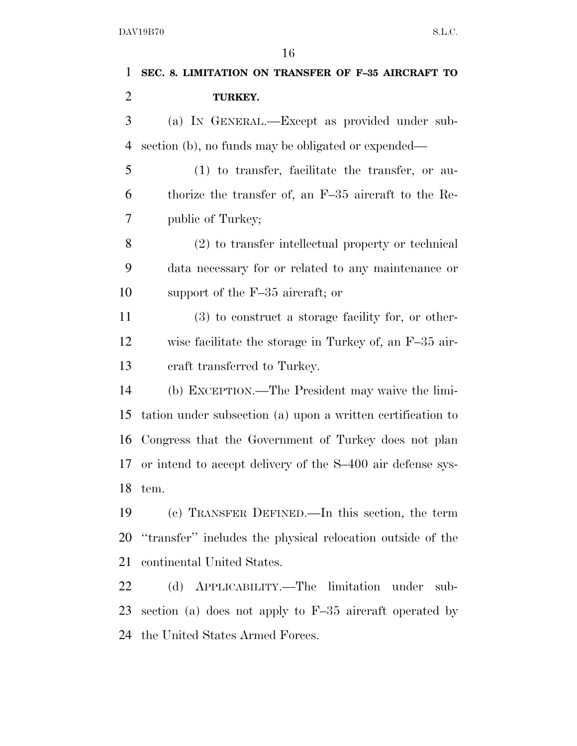|                | 16                                                            |
|----------------|---------------------------------------------------------------|
| 1              | SEC. 8. LIMITATION ON TRANSFER OF F-35 AIRCRAFT TO            |
| 2              | TURKEY.                                                       |
| 3              | (a) IN GENERAL.—Except as provided under sub-                 |
| $\overline{4}$ | section (b), no funds may be obligated or expended—           |
| 5              | $(1)$ to transfer, facilitate the transfer, or au-            |
| 6              | thorize the transfer of, an F-35 aircraft to the Re-          |
| 7              | public of Turkey;                                             |
| 8              | (2) to transfer intellectual property or technical            |
| 9              | data necessary for or related to any maintenance or           |
| 10             | support of the $F-35$ aircraft; or                            |
| 11             | $(3)$ to construct a storage facility for, or other-          |
| 12             | wise facilitate the storage in Turkey of, an F-35 air-        |
| 13             | eraft transferred to Turkey.                                  |
| 14             | (b) EXCEPTION.—The President may waive the limi-              |
| 15             | tation under subsection (a) upon a written certification to   |
| 16             | Congress that the Government of Turkey does not plan          |
|                | 17 or intend to accept delivery of the S-400 air defense sys- |
| 18             | tem.                                                          |
| 19             | (c) TRANSFER DEFINED.—In this section, the term               |
| 20             | "transfer" includes the physical relocation outside of the    |
| 21             | continental United States.                                    |
| 22             | APPLICABILITY.—The limitation under<br>(d)<br>sub-            |

 section (a) does not apply to F–35 aircraft operated by the United States Armed Forces.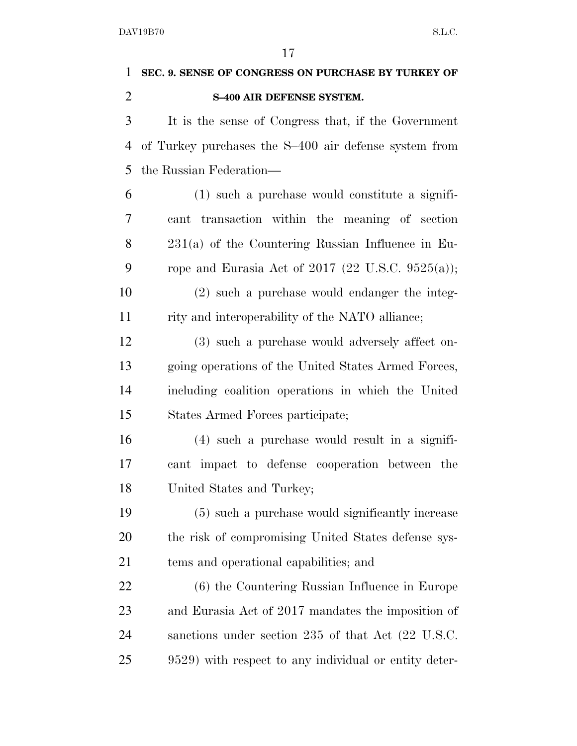| $\mathbf{1}$   | SEC. 9. SENSE OF CONGRESS ON PURCHASE BY TURKEY OF    |
|----------------|-------------------------------------------------------|
| $\overline{2}$ | S-400 AIR DEFENSE SYSTEM.                             |
| 3              | It is the sense of Congress that, if the Government   |
| 4              | of Turkey purchases the S-400 air defense system from |
| 5              | the Russian Federation—                               |
| 6              | (1) such a purchase would constitute a signifi-       |
| 7              | cant transaction within the meaning of section        |
| 8              | $231(a)$ of the Countering Russian Influence in Eu-   |
| 9              | rope and Eurasia Act of 2017 (22 U.S.C. 9525(a));     |
| 10             | $(2)$ such a purchase would endanger the integ-       |
| 11             | rity and interoperability of the NATO alliance;       |
| 12             | (3) such a purchase would adversely affect on-        |
| 13             | going operations of the United States Armed Forces,   |
| 14             | including coalition operations in which the United    |
| 15             | States Armed Forces participate;                      |
| 16             | (4) such a purchase would result in a signifi-        |
| 17             | cant impact to defense cooperation between the        |
| 18             | United States and Turkey;                             |
| 19             | (5) such a purchase would significantly increase      |
| 20             | the risk of compromising United States defense sys-   |
| 21             | tems and operational capabilities; and                |
| 22             | (6) the Countering Russian Influence in Europe        |
| 23             | and Eurasia Act of 2017 mandates the imposition of    |
| 24             | sanctions under section 235 of that Act (22 U.S.C.    |
| 25             | 9529) with respect to any individual or entity deter- |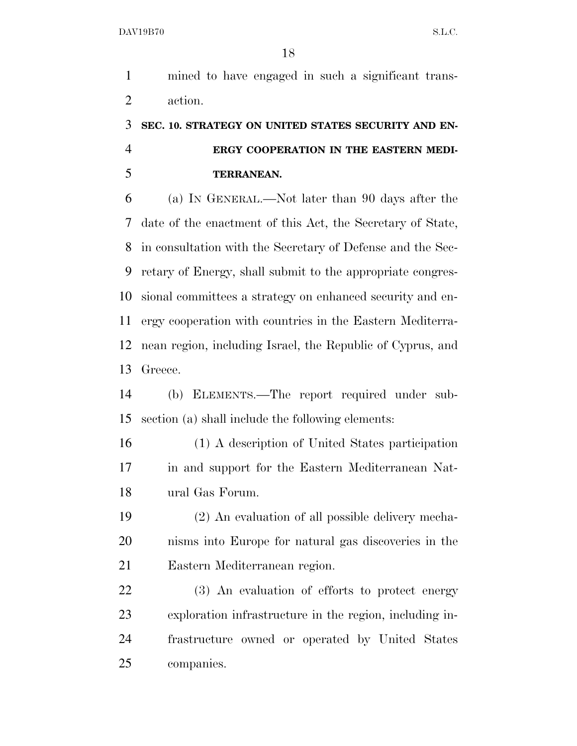mined to have engaged in such a significant trans-action.

## **SEC. 10. STRATEGY ON UNITED STATES SECURITY AND EN- ERGY COOPERATION IN THE EASTERN MEDI-TERRANEAN.**

 (a) IN GENERAL.—Not later than 90 days after the date of the enactment of this Act, the Secretary of State, in consultation with the Secretary of Defense and the Sec- retary of Energy, shall submit to the appropriate congres- sional committees a strategy on enhanced security and en- ergy cooperation with countries in the Eastern Mediterra- nean region, including Israel, the Republic of Cyprus, and Greece.

 (b) ELEMENTS.—The report required under sub-section (a) shall include the following elements:

 (1) A description of United States participation in and support for the Eastern Mediterranean Nat-ural Gas Forum.

 (2) An evaluation of all possible delivery mecha- nisms into Europe for natural gas discoveries in the Eastern Mediterranean region.

 (3) An evaluation of efforts to protect energy exploration infrastructure in the region, including in- frastructure owned or operated by United States companies.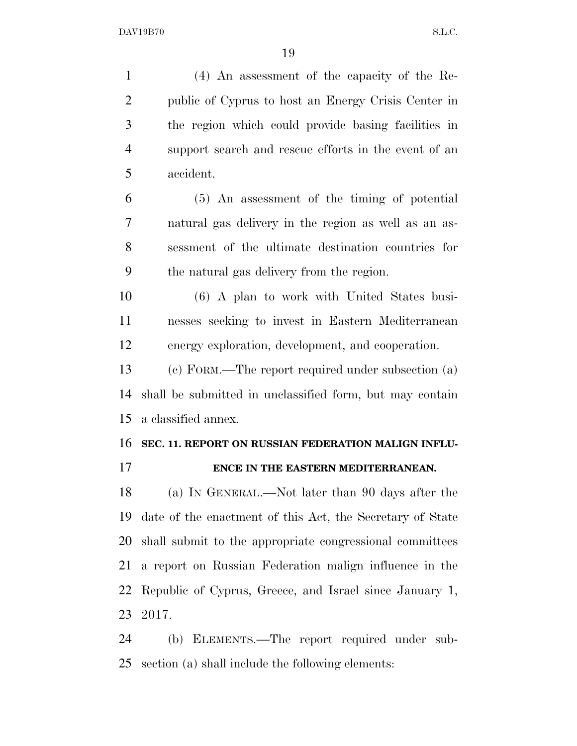(4) An assessment of the capacity of the Re- public of Cyprus to host an Energy Crisis Center in the region which could provide basing facilities in support search and rescue efforts in the event of an accident. (5) An assessment of the timing of potential natural gas delivery in the region as well as an as- sessment of the ultimate destination countries for the natural gas delivery from the region. (6) A plan to work with United States busi- nesses seeking to invest in Eastern Mediterranean energy exploration, development, and cooperation. (c) FORM.—The report required under subsection (a) shall be submitted in unclassified form, but may contain a classified annex. **SEC. 11. REPORT ON RUSSIAN FEDERATION MALIGN INFLU- ENCE IN THE EASTERN MEDITERRANEAN.**  (a) IN GENERAL.—Not later than 90 days after the date of the enactment of this Act, the Secretary of State shall submit to the appropriate congressional committees a report on Russian Federation malign influence in the

 Republic of Cyprus, Greece, and Israel since January 1, 2017.

 (b) ELEMENTS.—The report required under sub-section (a) shall include the following elements: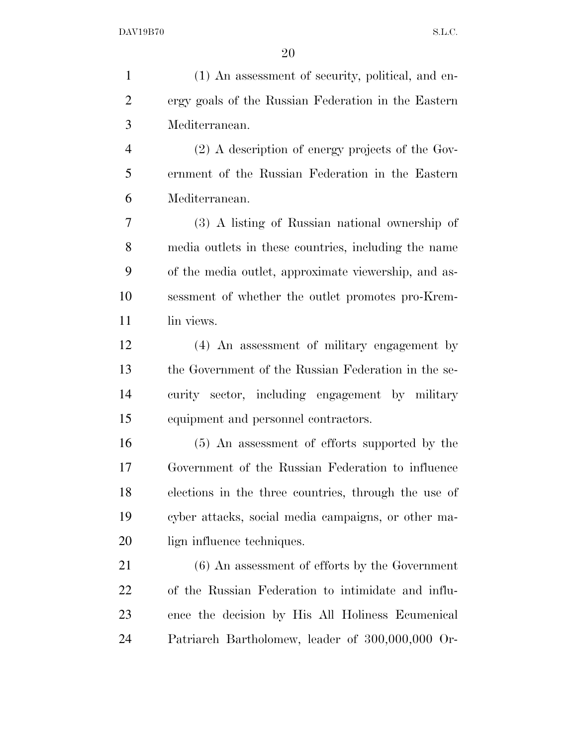(1) An assessment of security, political, and en- ergy goals of the Russian Federation in the Eastern Mediterranean. (2) A description of energy projects of the Gov- ernment of the Russian Federation in the Eastern Mediterranean. (3) A listing of Russian national ownership of media outlets in these countries, including the name of the media outlet, approximate viewership, and as- sessment of whether the outlet promotes pro-Krem-11 lin views. (4) An assessment of military engagement by the Government of the Russian Federation in the se- curity sector, including engagement by military equipment and personnel contractors. (5) An assessment of efforts supported by the Government of the Russian Federation to influence elections in the three countries, through the use of cyber attacks, social media campaigns, or other ma-20 lign influence techniques. (6) An assessment of efforts by the Government of the Russian Federation to intimidate and influ- ence the decision by His All Holiness Ecumenical Patriarch Bartholomew, leader of 300,000,000 Or-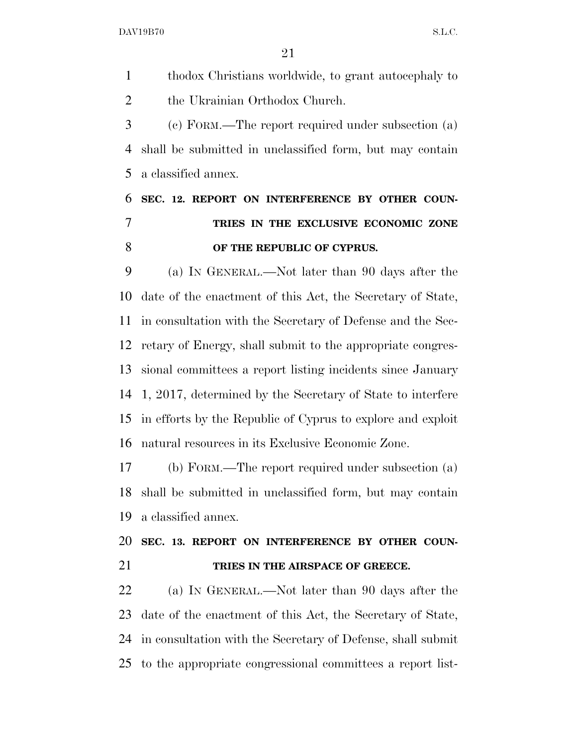thodox Christians worldwide, to grant autocephaly to 2 the Ukrainian Orthodox Church.

 (c) FORM.—The report required under subsection (a) shall be submitted in unclassified form, but may contain a classified annex.

# **SEC. 12. REPORT ON INTERFERENCE BY OTHER COUN- TRIES IN THE EXCLUSIVE ECONOMIC ZONE OF THE REPUBLIC OF CYPRUS.**

 (a) IN GENERAL.—Not later than 90 days after the date of the enactment of this Act, the Secretary of State, in consultation with the Secretary of Defense and the Sec- retary of Energy, shall submit to the appropriate congres- sional committees a report listing incidents since January 1, 2017, determined by the Secretary of State to interfere in efforts by the Republic of Cyprus to explore and exploit natural resources in its Exclusive Economic Zone.

 (b) FORM.—The report required under subsection (a) shall be submitted in unclassified form, but may contain a classified annex.

 **SEC. 13. REPORT ON INTERFERENCE BY OTHER COUN-TRIES IN THE AIRSPACE OF GREECE.** 

 (a) IN GENERAL.—Not later than 90 days after the date of the enactment of this Act, the Secretary of State, in consultation with the Secretary of Defense, shall submit to the appropriate congressional committees a report list-